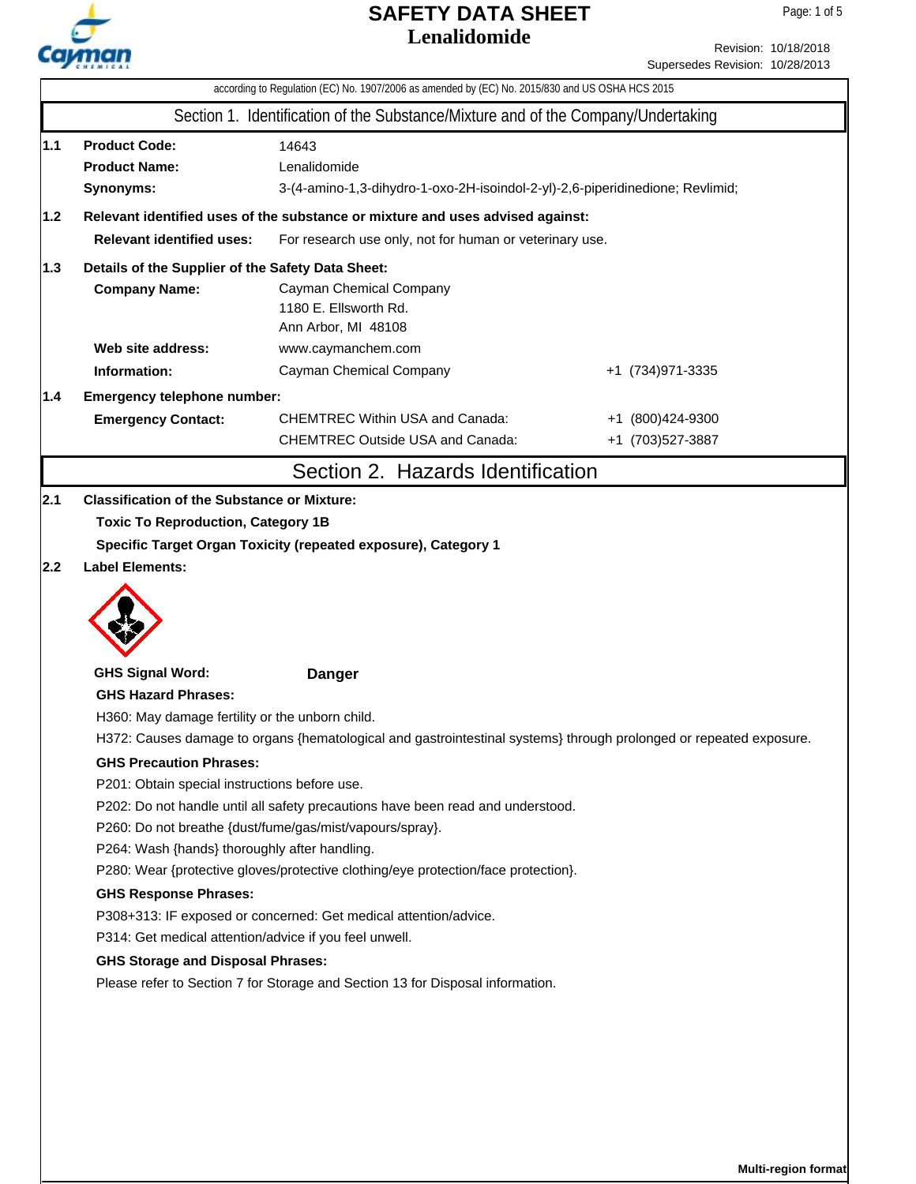

Revision: 10/18/2018 Supersedes Revision: 10/28/2013

|                                                                                                                                                                                                                                                                                                                                                                                                                                                                                                                                                                                                                                                                                                                                                                                                                                                                          | according to Regulation (EC) No. 1907/2006 as amended by (EC) No. 2015/830 and US OSHA HCS 2015                                                                     |                                                                                   |                   |  |  |  |  |  |
|--------------------------------------------------------------------------------------------------------------------------------------------------------------------------------------------------------------------------------------------------------------------------------------------------------------------------------------------------------------------------------------------------------------------------------------------------------------------------------------------------------------------------------------------------------------------------------------------------------------------------------------------------------------------------------------------------------------------------------------------------------------------------------------------------------------------------------------------------------------------------|---------------------------------------------------------------------------------------------------------------------------------------------------------------------|-----------------------------------------------------------------------------------|-------------------|--|--|--|--|--|
|                                                                                                                                                                                                                                                                                                                                                                                                                                                                                                                                                                                                                                                                                                                                                                                                                                                                          |                                                                                                                                                                     | Section 1. Identification of the Substance/Mixture and of the Company/Undertaking |                   |  |  |  |  |  |
| 1.1                                                                                                                                                                                                                                                                                                                                                                                                                                                                                                                                                                                                                                                                                                                                                                                                                                                                      | <b>Product Code:</b><br>14643<br><b>Product Name:</b><br>Lenalidomide<br>Synonyms:<br>3-(4-amino-1,3-dihydro-1-oxo-2H-isoindol-2-yl)-2,6-piperidinedione; Revlimid; |                                                                                   |                   |  |  |  |  |  |
| $1.2$                                                                                                                                                                                                                                                                                                                                                                                                                                                                                                                                                                                                                                                                                                                                                                                                                                                                    |                                                                                                                                                                     | Relevant identified uses of the substance or mixture and uses advised against:    |                   |  |  |  |  |  |
|                                                                                                                                                                                                                                                                                                                                                                                                                                                                                                                                                                                                                                                                                                                                                                                                                                                                          | <b>Relevant identified uses:</b><br>For research use only, not for human or veterinary use.                                                                         |                                                                                   |                   |  |  |  |  |  |
| 1.3                                                                                                                                                                                                                                                                                                                                                                                                                                                                                                                                                                                                                                                                                                                                                                                                                                                                      | Details of the Supplier of the Safety Data Sheet:                                                                                                                   |                                                                                   |                   |  |  |  |  |  |
|                                                                                                                                                                                                                                                                                                                                                                                                                                                                                                                                                                                                                                                                                                                                                                                                                                                                          | <b>Company Name:</b>                                                                                                                                                | Cayman Chemical Company<br>1180 E. Ellsworth Rd.<br>Ann Arbor, MI 48108           |                   |  |  |  |  |  |
|                                                                                                                                                                                                                                                                                                                                                                                                                                                                                                                                                                                                                                                                                                                                                                                                                                                                          | Web site address:                                                                                                                                                   | www.caymanchem.com                                                                |                   |  |  |  |  |  |
|                                                                                                                                                                                                                                                                                                                                                                                                                                                                                                                                                                                                                                                                                                                                                                                                                                                                          | Information:                                                                                                                                                        | Cayman Chemical Company                                                           | +1 (734) 971-3335 |  |  |  |  |  |
| 1.4                                                                                                                                                                                                                                                                                                                                                                                                                                                                                                                                                                                                                                                                                                                                                                                                                                                                      | Emergency telephone number:                                                                                                                                         |                                                                                   |                   |  |  |  |  |  |
|                                                                                                                                                                                                                                                                                                                                                                                                                                                                                                                                                                                                                                                                                                                                                                                                                                                                          | <b>Emergency Contact:</b>                                                                                                                                           | <b>CHEMTREC Within USA and Canada:</b>                                            | +1 (800)424-9300  |  |  |  |  |  |
|                                                                                                                                                                                                                                                                                                                                                                                                                                                                                                                                                                                                                                                                                                                                                                                                                                                                          |                                                                                                                                                                     | <b>CHEMTREC Outside USA and Canada:</b>                                           | +1 (703) 527-3887 |  |  |  |  |  |
|                                                                                                                                                                                                                                                                                                                                                                                                                                                                                                                                                                                                                                                                                                                                                                                                                                                                          |                                                                                                                                                                     | Section 2. Hazards Identification                                                 |                   |  |  |  |  |  |
|                                                                                                                                                                                                                                                                                                                                                                                                                                                                                                                                                                                                                                                                                                                                                                                                                                                                          |                                                                                                                                                                     |                                                                                   |                   |  |  |  |  |  |
|                                                                                                                                                                                                                                                                                                                                                                                                                                                                                                                                                                                                                                                                                                                                                                                                                                                                          | <b>GHS Signal Word:</b>                                                                                                                                             | <b>Danger</b>                                                                     |                   |  |  |  |  |  |
| <b>GHS Hazard Phrases:</b><br>H360: May damage fertility or the unborn child.<br>H372: Causes damage to organs {hematological and gastrointestinal systems} through prolonged or repeated exposure.<br><b>GHS Precaution Phrases:</b><br>P201: Obtain special instructions before use.<br>P202: Do not handle until all safety precautions have been read and understood.<br>P260: Do not breathe {dust/fume/gas/mist/vapours/spray}.<br>P264: Wash {hands} thoroughly after handling.<br>P280: Wear {protective gloves/protective clothing/eye protection/face protection}.<br><b>GHS Response Phrases:</b><br>P308+313: IF exposed or concerned: Get medical attention/advice.<br>P314: Get medical attention/advice if you feel unwell.<br><b>GHS Storage and Disposal Phrases:</b><br>Please refer to Section 7 for Storage and Section 13 for Disposal information. |                                                                                                                                                                     |                                                                                   |                   |  |  |  |  |  |
|                                                                                                                                                                                                                                                                                                                                                                                                                                                                                                                                                                                                                                                                                                                                                                                                                                                                          |                                                                                                                                                                     |                                                                                   |                   |  |  |  |  |  |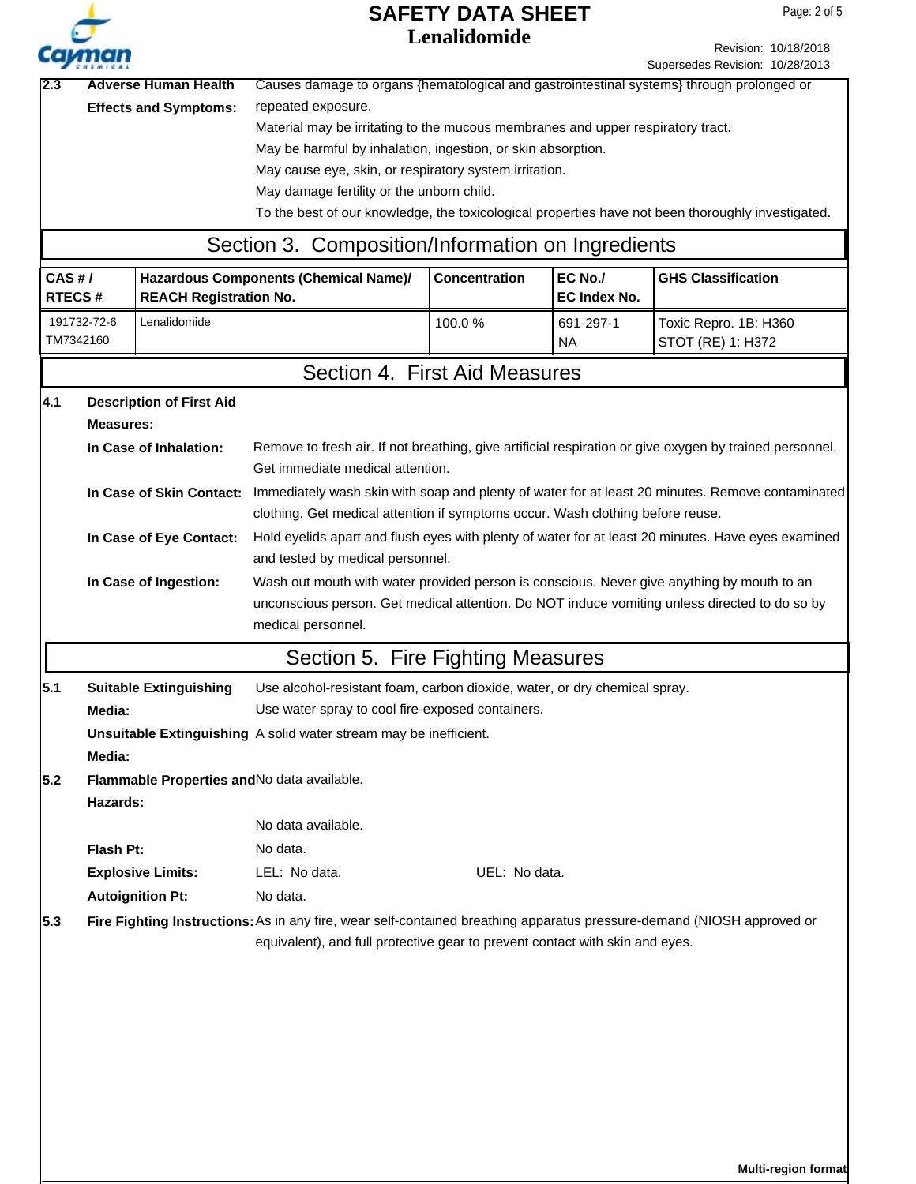|               |                                                                   |                                 |                                                                                                                                                                                             | <b>SAFETY DATA SHEET</b> |                     | Page: 2 of 5                                                                                            |  |  |
|---------------|-------------------------------------------------------------------|---------------------------------|---------------------------------------------------------------------------------------------------------------------------------------------------------------------------------------------|--------------------------|---------------------|---------------------------------------------------------------------------------------------------------|--|--|
|               |                                                                   |                                 | Lenalidomide                                                                                                                                                                                |                          |                     | Revision: 10/18/2018                                                                                    |  |  |
|               |                                                                   |                                 |                                                                                                                                                                                             |                          |                     | Supersedes Revision: 10/28/2013                                                                         |  |  |
| 2.3           |                                                                   | <b>Adverse Human Health</b>     | Causes damage to organs {hematological and gastrointestinal systems} through prolonged or                                                                                                   |                          |                     |                                                                                                         |  |  |
|               |                                                                   | <b>Effects and Symptoms:</b>    | repeated exposure.                                                                                                                                                                          |                          |                     |                                                                                                         |  |  |
|               |                                                                   |                                 | Material may be irritating to the mucous membranes and upper respiratory tract.                                                                                                             |                          |                     |                                                                                                         |  |  |
|               |                                                                   |                                 | May be harmful by inhalation, ingestion, or skin absorption.                                                                                                                                |                          |                     |                                                                                                         |  |  |
|               |                                                                   |                                 | May cause eye, skin, or respiratory system irritation.<br>May damage fertility or the unborn child.                                                                                         |                          |                     |                                                                                                         |  |  |
|               |                                                                   |                                 |                                                                                                                                                                                             |                          |                     | To the best of our knowledge, the toxicological properties have not been thoroughly investigated.       |  |  |
|               |                                                                   |                                 | Section 3. Composition/Information on Ingredients                                                                                                                                           |                          |                     |                                                                                                         |  |  |
| CAS#/         |                                                                   |                                 | Hazardous Components (Chemical Name)/                                                                                                                                                       | <b>Concentration</b>     | EC No./             | <b>GHS Classification</b>                                                                               |  |  |
| <b>RTECS#</b> |                                                                   | <b>REACH Registration No.</b>   |                                                                                                                                                                                             |                          | <b>EC Index No.</b> |                                                                                                         |  |  |
|               | 191732-72-6                                                       | Lenalidomide                    |                                                                                                                                                                                             | 100.0%                   | 691-297-1           | Toxic Repro. 1B: H360                                                                                   |  |  |
|               | TM7342160                                                         |                                 |                                                                                                                                                                                             |                          | NA.                 | STOT (RE) 1: H372                                                                                       |  |  |
|               |                                                                   |                                 | Section 4. First Aid Measures                                                                                                                                                               |                          |                     |                                                                                                         |  |  |
| 4.1           |                                                                   | <b>Description of First Aid</b> |                                                                                                                                                                                             |                          |                     |                                                                                                         |  |  |
|               | <b>Measures:</b>                                                  |                                 |                                                                                                                                                                                             |                          |                     |                                                                                                         |  |  |
|               |                                                                   | In Case of Inhalation:          |                                                                                                                                                                                             |                          |                     | Remove to fresh air. If not breathing, give artificial respiration or give oxygen by trained personnel. |  |  |
|               |                                                                   |                                 | Get immediate medical attention.                                                                                                                                                            |                          |                     |                                                                                                         |  |  |
|               |                                                                   | In Case of Skin Contact:        | Immediately wash skin with soap and plenty of water for at least 20 minutes. Remove contaminated                                                                                            |                          |                     |                                                                                                         |  |  |
|               |                                                                   |                                 | clothing. Get medical attention if symptoms occur. Wash clothing before reuse.                                                                                                              |                          |                     |                                                                                                         |  |  |
|               |                                                                   | In Case of Eye Contact:         | Hold eyelids apart and flush eyes with plenty of water for at least 20 minutes. Have eyes examined                                                                                          |                          |                     |                                                                                                         |  |  |
|               |                                                                   |                                 | and tested by medical personnel.                                                                                                                                                            |                          |                     |                                                                                                         |  |  |
|               |                                                                   | In Case of Ingestion:           | Wash out mouth with water provided person is conscious. Never give anything by mouth to an<br>unconscious person. Get medical attention. Do NOT induce vomiting unless directed to do so by |                          |                     |                                                                                                         |  |  |
|               |                                                                   |                                 | medical personnel.                                                                                                                                                                          |                          |                     |                                                                                                         |  |  |
|               |                                                                   |                                 | Section 5. Fire Fighting Measures                                                                                                                                                           |                          |                     |                                                                                                         |  |  |
| 5.1           |                                                                   | <b>Suitable Extinguishing</b>   |                                                                                                                                                                                             |                          |                     |                                                                                                         |  |  |
|               | Media:                                                            |                                 | Use alcohol-resistant foam, carbon dioxide, water, or dry chemical spray.<br>Use water spray to cool fire-exposed containers.                                                               |                          |                     |                                                                                                         |  |  |
|               | Unsuitable Extinguishing A solid water stream may be inefficient. |                                 |                                                                                                                                                                                             |                          |                     |                                                                                                         |  |  |
|               | Media:                                                            |                                 |                                                                                                                                                                                             |                          |                     |                                                                                                         |  |  |
| 5.2           |                                                                   |                                 | Flammable Properties and No data available.                                                                                                                                                 |                          |                     |                                                                                                         |  |  |
|               | Hazards:                                                          |                                 |                                                                                                                                                                                             |                          |                     |                                                                                                         |  |  |
|               |                                                                   |                                 | No data available.                                                                                                                                                                          |                          |                     |                                                                                                         |  |  |
|               | Flash Pt:                                                         |                                 | No data.                                                                                                                                                                                    |                          |                     |                                                                                                         |  |  |
|               |                                                                   | <b>Explosive Limits:</b>        | LEL: No data.                                                                                                                                                                               | UEL: No data.            |                     |                                                                                                         |  |  |
|               |                                                                   | <b>Autoignition Pt:</b>         | No data.                                                                                                                                                                                    |                          |                     |                                                                                                         |  |  |
| 5.3           |                                                                   |                                 | Fire Fighting Instructions: As in any fire, wear self-contained breathing apparatus pressure-demand (NIOSH approved or                                                                      |                          |                     |                                                                                                         |  |  |
|               |                                                                   |                                 | equivalent), and full protective gear to prevent contact with skin and eyes.                                                                                                                |                          |                     |                                                                                                         |  |  |
|               |                                                                   |                                 |                                                                                                                                                                                             |                          |                     |                                                                                                         |  |  |
|               |                                                                   |                                 |                                                                                                                                                                                             |                          |                     |                                                                                                         |  |  |
|               |                                                                   |                                 |                                                                                                                                                                                             |                          |                     |                                                                                                         |  |  |
|               |                                                                   |                                 |                                                                                                                                                                                             |                          |                     |                                                                                                         |  |  |
|               |                                                                   |                                 |                                                                                                                                                                                             |                          |                     |                                                                                                         |  |  |
|               |                                                                   |                                 |                                                                                                                                                                                             |                          |                     |                                                                                                         |  |  |
|               |                                                                   |                                 |                                                                                                                                                                                             |                          |                     |                                                                                                         |  |  |
|               |                                                                   |                                 |                                                                                                                                                                                             |                          |                     |                                                                                                         |  |  |
|               |                                                                   |                                 |                                                                                                                                                                                             |                          |                     |                                                                                                         |  |  |

**Multi-region format**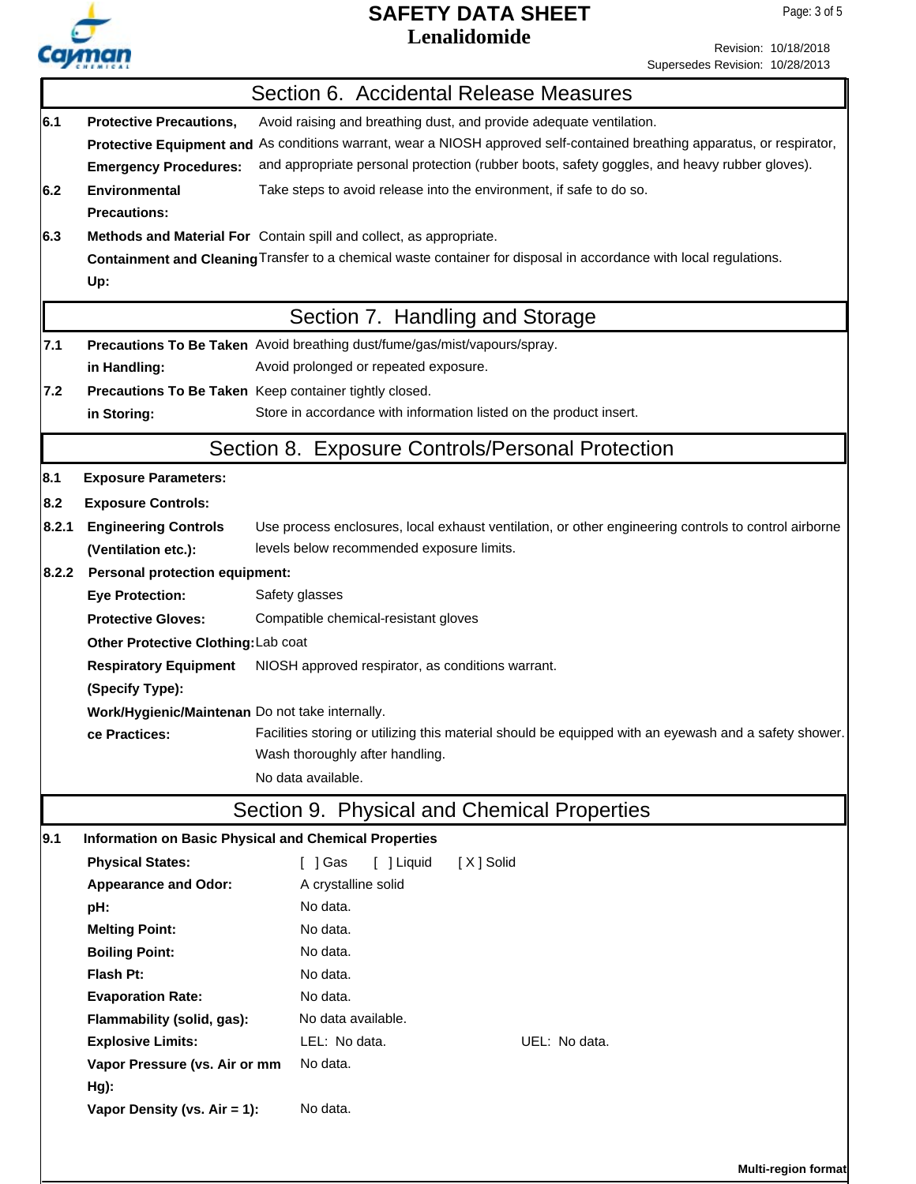

Revision: 10/18/2018 Supersedes Revision: 10/28/2013

|                                     |                                                                                                                          | Section 6. Accidental Release Measures                                                               |  |  |  |  |
|-------------------------------------|--------------------------------------------------------------------------------------------------------------------------|------------------------------------------------------------------------------------------------------|--|--|--|--|
| 6.1                                 | <b>Protective Precautions,</b>                                                                                           | Avoid raising and breathing dust, and provide adequate ventilation.                                  |  |  |  |  |
|                                     | Protective Equipment and As conditions warrant, wear a NIOSH approved self-contained breathing apparatus, or respirator, |                                                                                                      |  |  |  |  |
|                                     | <b>Emergency Procedures:</b>                                                                                             | and appropriate personal protection (rubber boots, safety goggles, and heavy rubber gloves).         |  |  |  |  |
| 6.2                                 | <b>Environmental</b>                                                                                                     | Take steps to avoid release into the environment, if safe to do so.                                  |  |  |  |  |
|                                     | <b>Precautions:</b>                                                                                                      |                                                                                                      |  |  |  |  |
| 6.3                                 |                                                                                                                          | Methods and Material For Contain spill and collect, as appropriate.                                  |  |  |  |  |
|                                     | Containment and Cleaning Transfer to a chemical waste container for disposal in accordance with local regulations.       |                                                                                                      |  |  |  |  |
|                                     | Up:                                                                                                                      |                                                                                                      |  |  |  |  |
|                                     |                                                                                                                          | Section 7. Handling and Storage                                                                      |  |  |  |  |
| 7.1                                 |                                                                                                                          | Precautions To Be Taken Avoid breathing dust/fume/gas/mist/vapours/spray.                            |  |  |  |  |
|                                     | Avoid prolonged or repeated exposure.<br>in Handling:                                                                    |                                                                                                      |  |  |  |  |
| 7.2                                 | Precautions To Be Taken Keep container tightly closed.                                                                   |                                                                                                      |  |  |  |  |
|                                     | in Storing:                                                                                                              | Store in accordance with information listed on the product insert.                                   |  |  |  |  |
|                                     |                                                                                                                          | Section 8. Exposure Controls/Personal Protection                                                     |  |  |  |  |
| 8.1                                 | <b>Exposure Parameters:</b>                                                                                              |                                                                                                      |  |  |  |  |
| 8.2                                 | <b>Exposure Controls:</b>                                                                                                |                                                                                                      |  |  |  |  |
| 8.2.1                               | <b>Engineering Controls</b>                                                                                              | Use process enclosures, local exhaust ventilation, or other engineering controls to control airborne |  |  |  |  |
|                                     | (Ventilation etc.):                                                                                                      | levels below recommended exposure limits.                                                            |  |  |  |  |
| 8.2.2                               | <b>Personal protection equipment:</b>                                                                                    |                                                                                                      |  |  |  |  |
|                                     | <b>Eye Protection:</b>                                                                                                   | Safety glasses                                                                                       |  |  |  |  |
|                                     | <b>Protective Gloves:</b>                                                                                                | Compatible chemical-resistant gloves                                                                 |  |  |  |  |
| Other Protective Clothing: Lab coat |                                                                                                                          |                                                                                                      |  |  |  |  |
|                                     | <b>Respiratory Equipment</b><br>NIOSH approved respirator, as conditions warrant.                                        |                                                                                                      |  |  |  |  |
|                                     | (Specify Type):                                                                                                          |                                                                                                      |  |  |  |  |
|                                     | Work/Hygienic/Maintenan Do not take internally.                                                                          |                                                                                                      |  |  |  |  |
|                                     | Facilities storing or utilizing this material should be equipped with an eyewash and a safety shower.<br>ce Practices:   |                                                                                                      |  |  |  |  |
|                                     | Wash thoroughly after handling.                                                                                          |                                                                                                      |  |  |  |  |
|                                     | No data available.                                                                                                       |                                                                                                      |  |  |  |  |
|                                     |                                                                                                                          | Section 9. Physical and Chemical Properties                                                          |  |  |  |  |
| 9.1                                 |                                                                                                                          | <b>Information on Basic Physical and Chemical Properties</b>                                         |  |  |  |  |
|                                     | <b>Physical States:</b>                                                                                                  | $\lceil$ $\rfloor$ Gas<br>[ ] Liquid<br>[X] Solid                                                    |  |  |  |  |
|                                     | <b>Appearance and Odor:</b>                                                                                              | A crystalline solid                                                                                  |  |  |  |  |
|                                     | pH:                                                                                                                      | No data.                                                                                             |  |  |  |  |
|                                     | <b>Melting Point:</b>                                                                                                    | No data.                                                                                             |  |  |  |  |
|                                     | <b>Boiling Point:</b>                                                                                                    | No data.                                                                                             |  |  |  |  |
|                                     | Flash Pt:                                                                                                                | No data.                                                                                             |  |  |  |  |
|                                     | <b>Evaporation Rate:</b>                                                                                                 | No data.                                                                                             |  |  |  |  |
|                                     | Flammability (solid, gas):                                                                                               | No data available.                                                                                   |  |  |  |  |
|                                     | <b>Explosive Limits:</b>                                                                                                 | LEL: No data.<br>UEL: No data.                                                                       |  |  |  |  |
|                                     | Vapor Pressure (vs. Air or mm                                                                                            | No data.                                                                                             |  |  |  |  |
|                                     | $Hg$ ):                                                                                                                  |                                                                                                      |  |  |  |  |
|                                     | Vapor Density (vs. Air = 1):                                                                                             | No data.                                                                                             |  |  |  |  |
|                                     |                                                                                                                          |                                                                                                      |  |  |  |  |
|                                     |                                                                                                                          | <b>Multi-region format</b>                                                                           |  |  |  |  |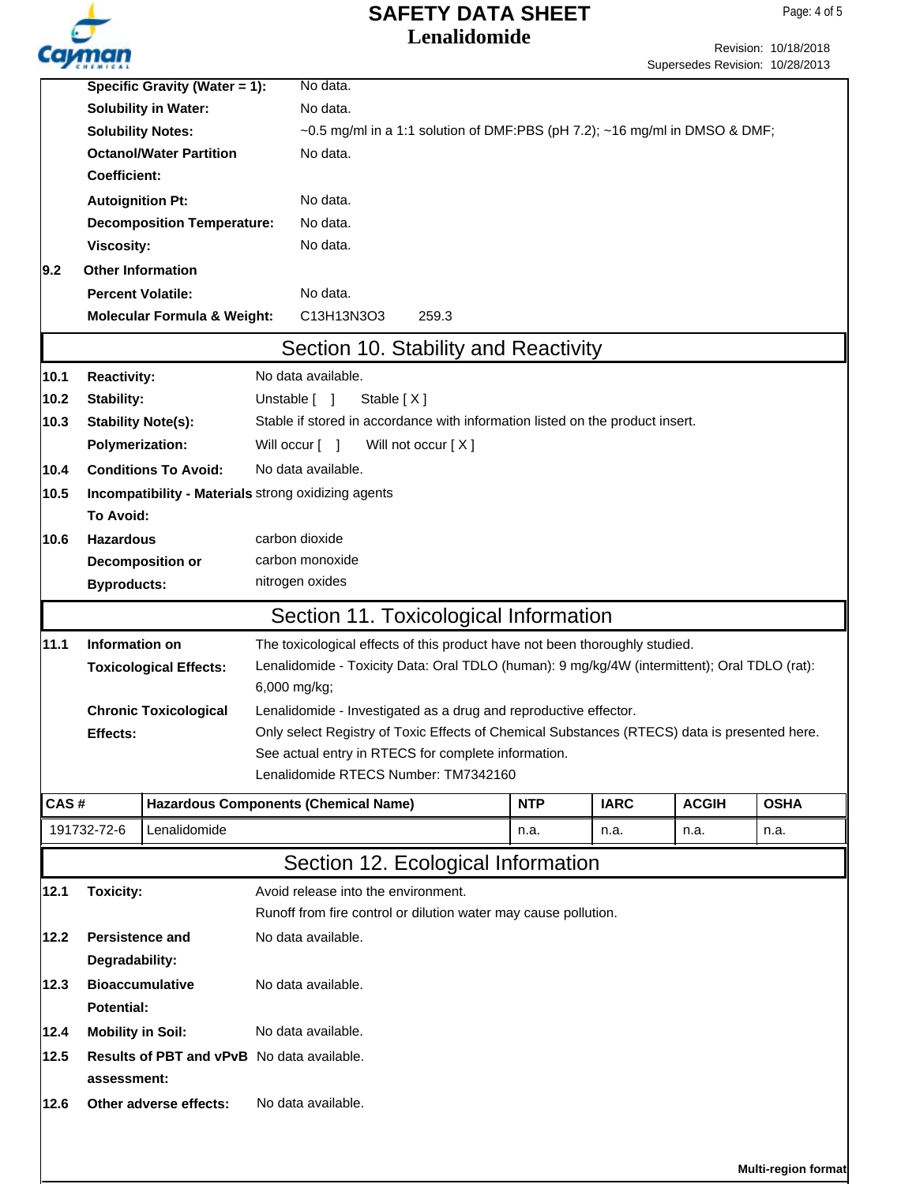

|      | Specific Gravity (Water = 1):                       |  | No data.                                                                                                     |  |            |             |              |                     |  |
|------|-----------------------------------------------------|--|--------------------------------------------------------------------------------------------------------------|--|------------|-------------|--------------|---------------------|--|
|      | <b>Solubility in Water:</b>                         |  | No data.                                                                                                     |  |            |             |              |                     |  |
|      | <b>Solubility Notes:</b>                            |  | ~0.5 mg/ml in a 1:1 solution of DMF:PBS (pH 7.2); ~16 mg/ml in DMSO & DMF;                                   |  |            |             |              |                     |  |
|      | <b>Octanol/Water Partition</b>                      |  | No data.                                                                                                     |  |            |             |              |                     |  |
|      | <b>Coefficient:</b>                                 |  |                                                                                                              |  |            |             |              |                     |  |
|      | <b>Autoignition Pt:</b>                             |  | No data.                                                                                                     |  |            |             |              |                     |  |
|      | <b>Decomposition Temperature:</b>                   |  | No data.                                                                                                     |  |            |             |              |                     |  |
|      | <b>Viscosity:</b>                                   |  | No data.                                                                                                     |  |            |             |              |                     |  |
| 9.2  | <b>Other Information</b>                            |  |                                                                                                              |  |            |             |              |                     |  |
|      |                                                     |  |                                                                                                              |  |            |             |              |                     |  |
|      | <b>Percent Volatile:</b>                            |  | No data.                                                                                                     |  |            |             |              |                     |  |
|      | <b>Molecular Formula &amp; Weight:</b>              |  | C13H13N3O3<br>259.3                                                                                          |  |            |             |              |                     |  |
|      |                                                     |  | Section 10. Stability and Reactivity                                                                         |  |            |             |              |                     |  |
| 10.1 | <b>Reactivity:</b>                                  |  | No data available.                                                                                           |  |            |             |              |                     |  |
| 10.2 | Stability:                                          |  | Unstable [ ]<br>Stable [X]                                                                                   |  |            |             |              |                     |  |
| 10.3 | <b>Stability Note(s):</b>                           |  | Stable if stored in accordance with information listed on the product insert.                                |  |            |             |              |                     |  |
|      | <b>Polymerization:</b>                              |  | Will occur [ ]<br>Will not occur [X]                                                                         |  |            |             |              |                     |  |
| 10.4 | <b>Conditions To Avoid:</b>                         |  | No data available.                                                                                           |  |            |             |              |                     |  |
| 10.5 | Incompatibility - Materials strong oxidizing agents |  |                                                                                                              |  |            |             |              |                     |  |
|      | <b>To Avoid:</b>                                    |  |                                                                                                              |  |            |             |              |                     |  |
| 10.6 | <b>Hazardous</b>                                    |  |                                                                                                              |  |            |             |              |                     |  |
|      | Decomposition or                                    |  | carbon dioxide<br>carbon monoxide                                                                            |  |            |             |              |                     |  |
|      | <b>Byproducts:</b>                                  |  | nitrogen oxides                                                                                              |  |            |             |              |                     |  |
|      |                                                     |  |                                                                                                              |  |            |             |              |                     |  |
|      |                                                     |  | Section 11. Toxicological Information                                                                        |  |            |             |              |                     |  |
| 11.1 | Information on                                      |  | The toxicological effects of this product have not been thoroughly studied.                                  |  |            |             |              |                     |  |
|      | <b>Toxicological Effects:</b>                       |  | Lenalidomide - Toxicity Data: Oral TDLO (human): 9 mg/kg/4W (intermittent); Oral TDLO (rat):<br>6,000 mg/kg; |  |            |             |              |                     |  |
|      |                                                     |  |                                                                                                              |  |            |             |              |                     |  |
|      | <b>Chronic Toxicological</b>                        |  | Lenalidomide - Investigated as a drug and reproductive effector.                                             |  |            |             |              |                     |  |
|      | Effects:                                            |  | Only select Registry of Toxic Effects of Chemical Substances (RTECS) data is presented here.                 |  |            |             |              |                     |  |
|      |                                                     |  | See actual entry in RTECS for complete information.                                                          |  |            |             |              |                     |  |
|      |                                                     |  | Lenalidomide RTECS Number: TM7342160                                                                         |  |            |             |              |                     |  |
| CAS# |                                                     |  | <b>Hazardous Components (Chemical Name)</b>                                                                  |  | <b>NTP</b> | <b>IARC</b> | <b>ACGIH</b> | <b>OSHA</b>         |  |
|      | Lenalidomide<br>191732-72-6                         |  |                                                                                                              |  | n.a.       | n.a.        | n.a.         | n.a.                |  |
|      |                                                     |  | Section 12. Ecological Information                                                                           |  |            |             |              |                     |  |
| 12.1 | <b>Toxicity:</b>                                    |  | Avoid release into the environment.                                                                          |  |            |             |              |                     |  |
|      |                                                     |  | Runoff from fire control or dilution water may cause pollution.                                              |  |            |             |              |                     |  |
|      |                                                     |  |                                                                                                              |  |            |             |              |                     |  |
| 12.2 | <b>Persistence and</b>                              |  | No data available.                                                                                           |  |            |             |              |                     |  |
|      | Degradability:                                      |  |                                                                                                              |  |            |             |              |                     |  |
| 12.3 | <b>Bioaccumulative</b><br>No data available.        |  |                                                                                                              |  |            |             |              |                     |  |
|      | <b>Potential:</b>                                   |  |                                                                                                              |  |            |             |              |                     |  |
| 12.4 | <b>Mobility in Soil:</b>                            |  | No data available.                                                                                           |  |            |             |              |                     |  |
| 12.5 | <b>Results of PBT and vPvB</b> No data available.   |  |                                                                                                              |  |            |             |              |                     |  |
|      | assessment:                                         |  |                                                                                                              |  |            |             |              |                     |  |
| 12.6 | Other adverse effects:                              |  | No data available.                                                                                           |  |            |             |              |                     |  |
|      |                                                     |  |                                                                                                              |  |            |             |              |                     |  |
|      |                                                     |  |                                                                                                              |  |            |             |              |                     |  |
|      |                                                     |  |                                                                                                              |  |            |             |              | Multi-region format |  |